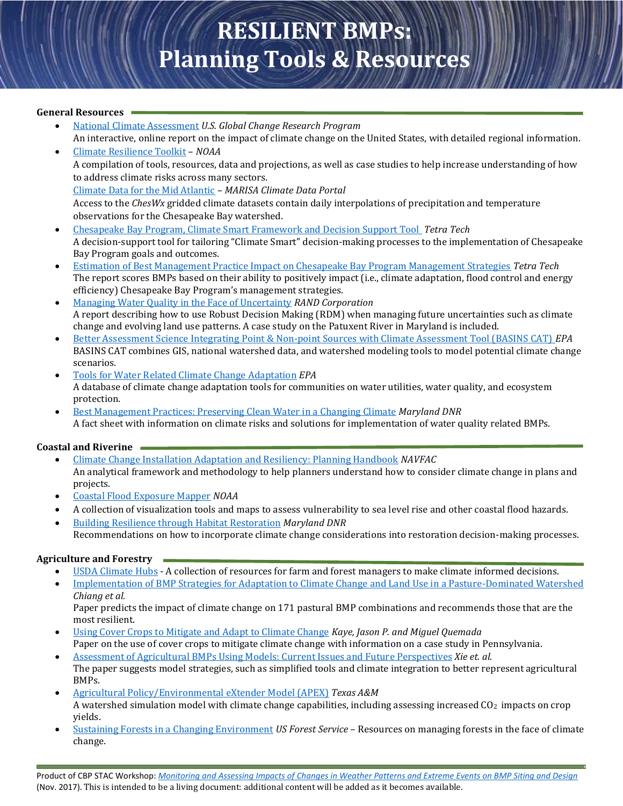# **RESILIENT BMPs: Planning Tools & Resources**

#### **General Resources**

- [National Climate Assessment](http://www.globalchange.gov/nca4/) *U.S. Global Change Research Program*  An interactive, online report on the impact of climate change on the United States, with detailed regional information.
- [Climate Resilience Toolkit](https://toolkit.climate.gov/) *NOAA* A compilation of tools, resources, data and projections, as well as case studies to help increase understanding of how to address climate risks across many sectors. [Climate Data for the Mid Atlantic](https://www.marisa.psu.edu/data/) *– MARISA Climate Data Portal* Access to the *ChesWx* gridded climate datasets contain daily interpolations of precipitation and temperature observations for the Chesapeake Bay watershed.
- [Chesapeake Bay Program, Climate Smart Framework and Decision Support Tool](https://www.chesapeakebay.net/channel_files/25931/cbp_climate_smart_framework_and_decision_tool_-_final_report_2018.pdf) *Tetra Tech* A decision-support tool for tailoring "Climate Smart" decision-making processes to the implementation of Chesapeake Bay Program goals and outcomes.
- Estimation of Best [Management Practice Impact on Chesapeake Bay Program Management Strategies](http://www.chesapeakebay.net/channel_files/25159/draft_bmp_impact_scoring_report_-_20170421.pdf) *Tetra Tech* The report scores BMPs based on their ability to positively impact (i.e., climate adaptation, flood control and energy efficiency) Chesapeake Bay Program's management strategies.
- [Managing Water Quality in the Face of Uncertainty](https://www.rand.org/content/dam/rand/pubs/research_reports/RR700/RR720/RAND_RR720.pdf) *RAND Corporation*  A report describing how to use Robust Decision Making (RDM) when managing future uncertainties such as climate change and evolving land use patterns. A case study on the Patuxent River in Maryland is included.
- [Better Assessment Science Integrating Point & Non-point Sources with Climate Assessment Tool \(BASINS CAT\)](https://www.epa.gov/climate-change-water-sector/climate-change-and-water-tools#basins) *EPA* BASINS CAT combines GIS, national watershed data, and watershed modeling tools to model potential climate change scenarios.
- [Tools for Water Related Climate Change Adaptation](https://www.epa.gov/arc-x/tools-water-related-climate-change-adaptation#tab-3) *EPA*  A database of climate change adaptation tools for communities on water utilities, water quality, and ecosystem protection.
- [Best Management Practices: Preserving Clean Water in a Changing Climate](http://climatechange.maryland.gov/wp-content/uploads/sites/16/2014/12/ian_newsletter_4171.pdf) *Maryland DNR* A fact sheet with information on climate risks and solutions for implementation of water quality related BMPs.

## **Coastal and Riverine**

- [Climate Change Installation Adaptation and Resiliency: Planning Handbook](http://www.louisberger.com/sites/default/files/NAVFAC-Climate-Change-Handbook-Jan2017.pdf) *NAVFAC* An analytical framework and methodology to help planners understand how to consider climate change in plans and projects.
- [Coastal Flood Exposure Mapper](https://coast.noaa.gov/digitalcoast/tools/flood-exposure.html) *NOAA*
- A collection of visualization tools and maps to assess vulnerability to sea level rise and other coastal flood hazards.
- [Building Resilience through Habitat Restoration](http://dnr.maryland.gov/ccs/Pages/default.aspx) *Maryland DNR*  Recommendations on how to incorporate climate change considerations into restoration decision-making processes.

## **Agriculture and Forestry**

- [USDA Climate Hubs](https://www.climatehubs.oce.usda.gov/) A collection of resources for farm and forest managers to make climate informed decisions.
- [Implementation of BMP Strategies for Adaptation to Climate Change and Land Use in a Pasture-Dominated Watershed](http://www.mdpi.com/1660-4601/9/10/3654/htm) *Chiang et al.*

Paper predicts the impact of climate change on 171 pastural BMP combinations and recommends those that are the most resilient.

[Using Cover Crops to Mitigate and Adapt to Climate Change](https://link.springer.com/article/10.1007/s13593-016-0410-x) *Kaye, Jason P. and Miguel Quemada* 

Paper on the use of cover crops to mitigate climate change with information on a case study in Pennsylvania. [Assessment of Agricultural BMPs Using Models: Current Issues and Future Perspectives](https://pdfs.semanticscholar.org/f19a/7b7ec820be8b4d6703860a3185a270144300.pdf) *Xie et. al.* 

- The paper suggests model strategies, such as simplified tools and climate integration to better represent agricultural BMPs.
- [Agricultural Policy/Environmental eXtender Model \(APEX\)](https://epicapex.tamu.edu/apex/) *Texas A&M*  A watershed simulation model with climate change capabilities, including assessing increased CO<sub>2</sub> impacts on crop yields.
- [Sustaining Forests in a Changing Environment](https://www.nrs.fs.fed.us/units/sustainingforests/) *US Forest Service*  Resources on managing forests in the face of climate change.

Product of CBP STAC Workshop: *[Monitoring and Assessing Impacts of Changes in Weather Patterns and Extreme Events on BMP Siting and Design](http://www.chesapeake.org/stac/workshop.php?activity_id=280)* (Nov. 2017). This is intended to be a living document: additional content will be added as it becomes available.